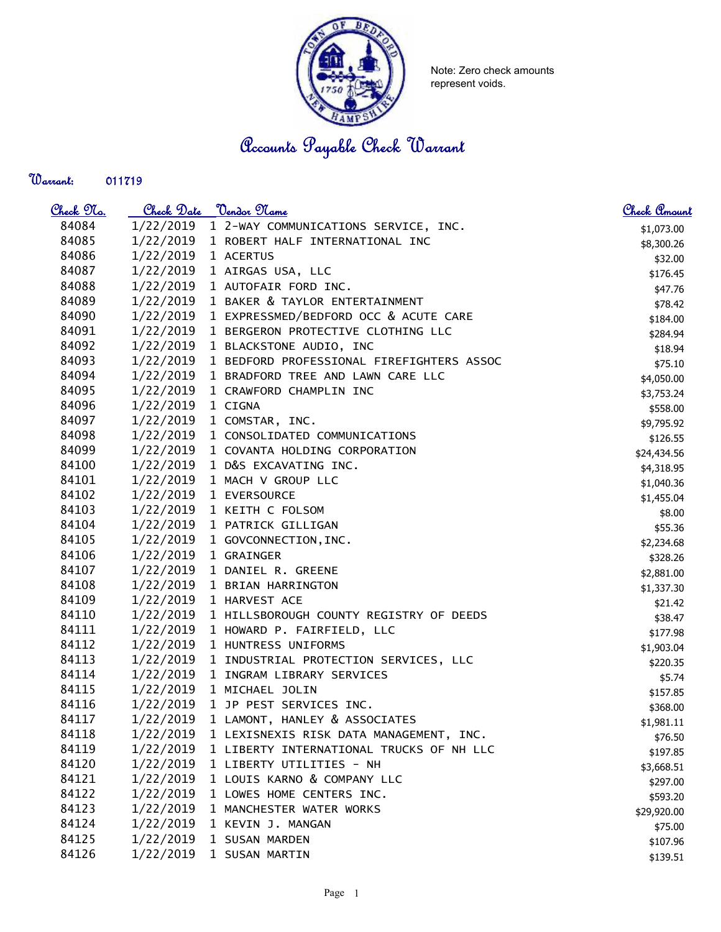

Note: Zero check amounts represent voids.

Accounts Payable Check Warrant

## Warrant:

| <u>Check No.</u> | <u>Check Date</u>    | <u> Vendor Name</u>                             | Check Amount |
|------------------|----------------------|-------------------------------------------------|--------------|
| 84084            | 1/22/2019            | 1 2-WAY COMMUNICATIONS SERVICE, INC.            | \$1,073.00   |
| 84085            |                      | 1/22/2019 1 ROBERT HALF INTERNATIONAL INC       | \$8,300.26   |
| 84086            | 1/22/2019 1 ACERTUS  |                                                 | \$32.00      |
| 84087            |                      | 1/22/2019 1 AIRGAS USA, LLC                     | \$176.45     |
| 84088            |                      | 1/22/2019 1 AUTOFAIR FORD INC.                  | \$47.76      |
| 84089            |                      | 1/22/2019 1 BAKER & TAYLOR ENTERTAINMENT        | \$78.42      |
| 84090            | 1/22/2019            | 1 EXPRESSMED/BEDFORD OCC & ACUTE CARE           | \$184.00     |
| 84091            | 1/22/2019            | 1 BERGERON PROTECTIVE CLOTHING LLC              | \$284.94     |
| 84092            | 1/22/2019            | 1 BLACKSTONE AUDIO, INC                         | \$18.94      |
| 84093            | 1/22/2019            | 1 BEDFORD PROFESSIONAL FIREFIGHTERS ASSOC       | \$75.10      |
| 84094            | 1/22/2019            | 1 BRADFORD TREE AND LAWN CARE LLC               | \$4,050.00   |
| 84095            | 1/22/2019            | 1 CRAWFORD CHAMPLIN INC                         | \$3,753.24   |
| 84096            | 1/22/2019            | 1 CIGNA                                         | \$558.00     |
| 84097            |                      | 1/22/2019 1 COMSTAR, INC.                       | \$9,795.92   |
| 84098            | 1/22/2019            | 1 CONSOLIDATED COMMUNICATIONS                   | \$126.55     |
| 84099            | 1/22/2019            | 1 COVANTA HOLDING CORPORATION                   | \$24,434.56  |
| 84100            | 1/22/2019            | 1 D&S EXCAVATING INC.                           | \$4,318.95   |
| 84101            | 1/22/2019            | 1 MACH V GROUP LLC                              | \$1,040.36   |
| 84102            |                      | 1/22/2019 1 EVERSOURCE                          | \$1,455.04   |
| 84103            |                      | 1/22/2019 1 KEITH C FOLSOM                      | \$8.00       |
| 84104            |                      | 1/22/2019 1 PATRICK GILLIGAN                    | \$55.36      |
| 84105            |                      | 1/22/2019 1 GOVCONNECTION, INC.                 | \$2,234.68   |
| 84106            | 1/22/2019 1 GRAINGER |                                                 | \$328.26     |
| 84107            | 1/22/2019            | 1 DANIEL R. GREENE                              | \$2,881.00   |
| 84108            | 1/22/2019            | 1 BRIAN HARRINGTON                              | \$1,337.30   |
| 84109            | 1/22/2019            | 1 HARVEST ACE                                   | \$21.42      |
| 84110            | 1/22/2019            | 1 HILLSBOROUGH COUNTY REGISTRY OF DEEDS         | \$38.47      |
| 84111            | 1/22/2019            | 1 HOWARD P. FAIRFIELD, LLC                      | \$177.98     |
| 84112            | 1/22/2019            | 1 HUNTRESS UNIFORMS                             | \$1,903.04   |
| 84113            |                      | 1/22/2019 1 INDUSTRIAL PROTECTION SERVICES, LLC | \$220.35     |
| 84114            |                      | 1/22/2019 1 INGRAM LIBRARY SERVICES             | \$5.74       |
| 84115            | 1/22/2019            | 1 MICHAEL JOLIN                                 | \$157.85     |
| 84116            | 1/22/2019            | 1 JP PEST SERVICES INC.                         | \$368.00     |
| 84117            | 1/22/2019            | 1 LAMONT, HANLEY & ASSOCIATES                   | \$1,981.11   |
| 84118            | 1/22/2019            | 1 LEXISNEXIS RISK DATA MANAGEMENT, INC.         | \$76.50      |
| 84119            | 1/22/2019            | 1 LIBERTY INTERNATIONAL TRUCKS OF NH LLC        | \$197.85     |
| 84120            | 1/22/2019            | 1 LIBERTY UTILITIES - NH                        | \$3,668.51   |
| 84121            | 1/22/2019            | 1 LOUIS KARNO & COMPANY LLC                     | \$297.00     |
| 84122            | 1/22/2019            | 1 LOWES HOME CENTERS INC.                       | \$593.20     |
| 84123            | 1/22/2019            | 1 MANCHESTER WATER WORKS                        | \$29,920.00  |
| 84124            | 1/22/2019            | 1 KEVIN J. MANGAN                               | \$75.00      |
| 84125            | 1/22/2019            | 1 SUSAN MARDEN                                  | \$107.96     |
| 84126            | 1/22/2019            | 1 SUSAN MARTIN                                  | \$139.51     |
|                  |                      |                                                 |              |